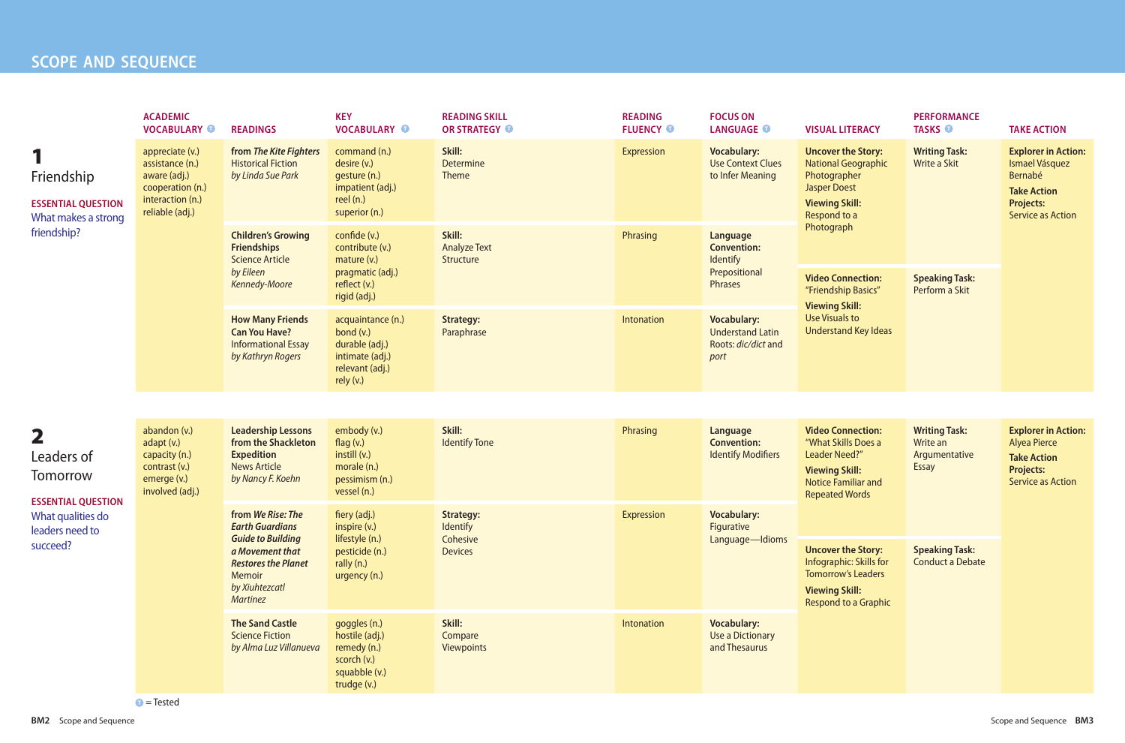## **SCOPE AND SEQUENCE**

|                                                                                                                                    | <b>ACADEMIC</b><br><b>VOCABULARY O</b>                                                                        | <b>READINGS</b>                                                                                                          | <b>KEY</b><br><b>VOCABULARY O</b>                                                                    | <b>READING SKILL</b><br>OR STRATEGY O      | <b>READING</b><br><b>FLUENCY O</b> | <b>FOCUS ON</b><br><b>LANGUAGE O</b>                                         | <b>VISUAL LITERACY</b>                                                                                                                                  | <b>PERFORMANCE</b><br><b>TASKS O</b>             | <b>TAKE ACTION</b>                                                                                                            |                                       |                                                                                                                         |  |  |  |  |                                                                             |  |                              |            |                                  |  |  |  |
|------------------------------------------------------------------------------------------------------------------------------------|---------------------------------------------------------------------------------------------------------------|--------------------------------------------------------------------------------------------------------------------------|------------------------------------------------------------------------------------------------------|--------------------------------------------|------------------------------------|------------------------------------------------------------------------------|---------------------------------------------------------------------------------------------------------------------------------------------------------|--------------------------------------------------|-------------------------------------------------------------------------------------------------------------------------------|---------------------------------------|-------------------------------------------------------------------------------------------------------------------------|--|--|--|--|-----------------------------------------------------------------------------|--|------------------------------|------------|----------------------------------|--|--|--|
| Friendship<br><b>ESSENTIAL QUESTION</b><br>What makes a strong                                                                     | appreciate (v.)<br>assistance (n.)<br>aware (adj.)<br>cooperation (n.)<br>interaction (n.)<br>reliable (adj.) | from The Kite Fighters<br><b>Historical Fiction</b><br>by Linda Sue Park                                                 | command (n.)<br>desire (v.)<br>gesture (n.)<br>impatient (adj.)<br>reel $(n.)$<br>superior (n.)      | Skill:<br><b>Determine</b><br><b>Theme</b> | Expression                         | <b>Vocabulary:</b><br><b>Use Context Clues</b><br>to Infer Meaning           | <b>Uncover the Story:</b><br><b>National Geographic</b><br>Photographer<br><b>Jasper Doest</b><br><b>Viewing Skill:</b><br>Respond to a                 | <b>Writing Task:</b><br>Write a Skit             | <b>Explorer in Action:</b><br>Ismael Vásquez<br>Bernabé<br><b>Take Action</b><br><b>Projects:</b><br><b>Service as Action</b> |                                       |                                                                                                                         |  |  |  |  |                                                                             |  |                              |            |                                  |  |  |  |
| friendship?                                                                                                                        |                                                                                                               | <b>Children's Growing</b><br><b>Friendships</b><br><b>Science Article</b>                                                | confide (v.)<br>contribute (v.)<br>mature (v.)                                                       | Skill:<br><b>Analyze Text</b><br>Structure | Phrasing                           | Language<br><b>Convention:</b><br>Identify                                   | Photograph                                                                                                                                              |                                                  |                                                                                                                               |                                       |                                                                                                                         |  |  |  |  |                                                                             |  |                              |            |                                  |  |  |  |
|                                                                                                                                    |                                                                                                               | by Eileen<br>Kennedy-Moore                                                                                               | pragmatic (adj.)<br>reflect (v.)<br>rigid (adj.)                                                     |                                            |                                    | Prepositional<br>Phrases                                                     | <b>Video Connection:</b><br>"Friendship Basics"<br><b>Viewing Skill:</b>                                                                                | <b>Speaking Task:</b><br>Perform a Skit          |                                                                                                                               |                                       |                                                                                                                         |  |  |  |  |                                                                             |  |                              |            |                                  |  |  |  |
|                                                                                                                                    |                                                                                                               | <b>How Many Friends</b><br><b>Can You Have?</b><br><b>Informational Essay</b><br>by Kathryn Rogers                       | acquaintance (n.)<br>bond $(v.)$<br>durable (adj.)<br>intimate (adj.)<br>relevant (adj.)<br>rely(v.) | <b>Strategy:</b><br>Paraphrase             | Intonation                         | <b>Vocabulary:</b><br><b>Understand Latin</b><br>Roots: dic/dict and<br>port | Use Visuals to<br>Understand Key Ideas                                                                                                                  |                                                  |                                                                                                                               |                                       |                                                                                                                         |  |  |  |  |                                                                             |  |                              |            |                                  |  |  |  |
|                                                                                                                                    |                                                                                                               |                                                                                                                          |                                                                                                      |                                            |                                    |                                                                              |                                                                                                                                                         |                                                  |                                                                                                                               |                                       |                                                                                                                         |  |  |  |  |                                                                             |  |                              |            |                                  |  |  |  |
| $\overline{\mathbf{2}}$<br>Leaders of<br>Tomorrow<br><b>ESSENTIAL QUESTION</b><br>What qualities do<br>leaders need to<br>succeed? | abandon (v.)<br>adapt (v.)<br>capacity (n.)<br>contrast (v.)<br>emerge (v.)<br>involved (adj.)                | <b>Leadership Lessons</b><br>from the Shackleton<br><b>Expedition</b><br><b>News Article</b><br>by Nancy F. Koehn        | embody (v.)<br>flag $(v.)$<br>instill (v.)<br>morale (n.)<br>pessimism (n.)<br>vessel (n.)           | Skill:<br><b>Identify Tone</b>             | Phrasing                           | Language<br><b>Convention:</b><br><b>Identify Modifiers</b>                  | <b>Video Connection:</b><br>"What Skills Does a<br><b>Leader Need?"</b><br><b>Viewing Skill:</b><br><b>Notice Familiar and</b><br><b>Repeated Words</b> |                                                  | Write an<br><b>Essay</b>                                                                                                      | <b>Writing Task:</b><br>Argumentative | <b>Explorer in Action:</b><br><b>Alyea Pierce</b><br><b>Take Action</b><br><b>Projects:</b><br><b>Service as Action</b> |  |  |  |  |                                                                             |  |                              |            |                                  |  |  |  |
|                                                                                                                                    |                                                                                                               |                                                                                                                          |                                                                                                      |                                            |                                    |                                                                              |                                                                                                                                                         |                                                  |                                                                                                                               |                                       |                                                                                                                         |  |  |  |  | from We Rise: The<br>fiery (adj.)<br><b>Earth Guardians</b><br>inspire (v.) |  | <b>Strategy:</b><br>Identify | Expression | <b>Vocabulary:</b><br>Figurative |  |  |  |
|                                                                                                                                    |                                                                                                               | <b>Guide to Building</b><br>a Movement that<br><b>Restores the Planet</b><br>Memoir<br>by Xiuhtezcatl<br><b>Martinez</b> | lifestyle (n.)<br>pesticide (n.)<br>rally (n.)<br>urgency (n.)                                       | Cohesive<br><b>Devices</b>                 |                                    | Language-Idioms                                                              | <b>Uncover the Story:</b><br>Infographic: Skills for<br><b>Tomorrow's Leaders</b><br><b>Viewing Skill:</b><br><b>Respond to a Graphic</b>               | <b>Speaking Task:</b><br><b>Conduct a Debate</b> |                                                                                                                               |                                       |                                                                                                                         |  |  |  |  |                                                                             |  |                              |            |                                  |  |  |  |
|                                                                                                                                    |                                                                                                               | <b>The Sand Castle</b><br><b>Science Fiction</b><br>by Alma Luz Villanueva                                               | goggles (n.)<br>hostile (adj.)<br>remedy (n.)<br>scorch (v.)<br>squabble (v.)<br>trudge (v.)         | Skill:<br>Compare<br><b>Viewpoints</b>     | Intonation                         | <b>Vocabulary:</b><br><b>Use a Dictionary</b><br>and Thesaurus               |                                                                                                                                                         |                                                  |                                                                                                                               |                                       |                                                                                                                         |  |  |  |  |                                                                             |  |                              |            |                                  |  |  |  |

**T** = Tested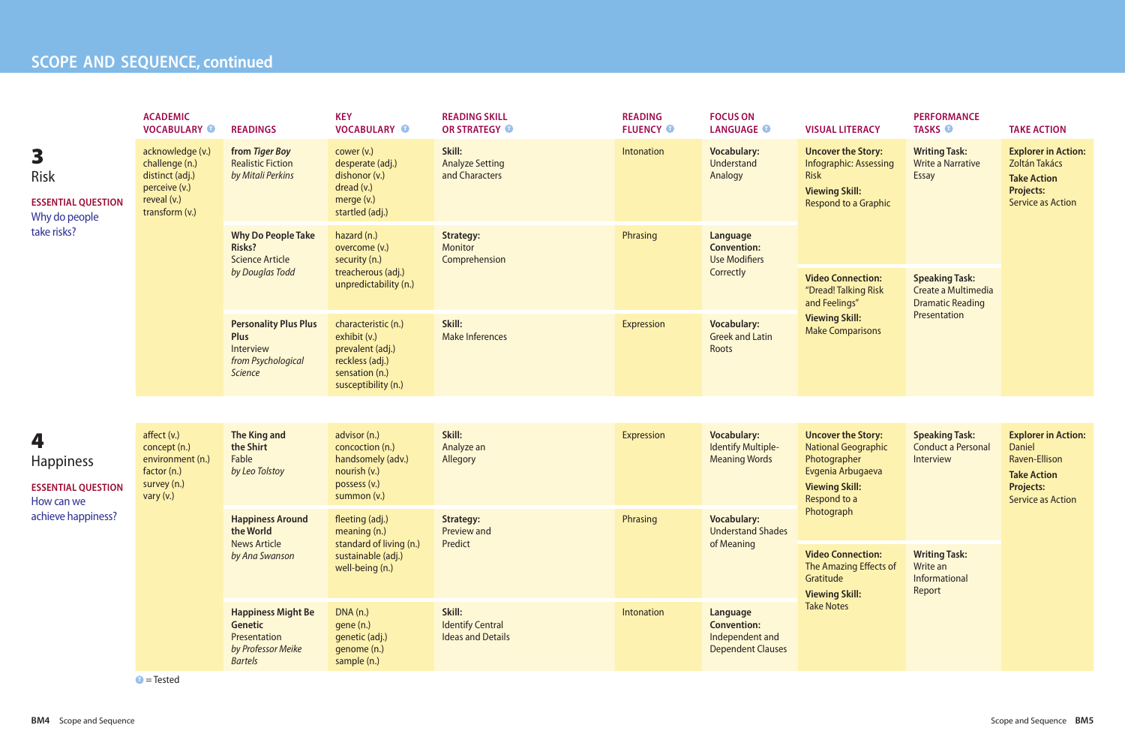## **SCOPE AND SEQUENCE, continued**

**PERFORMANCE TASKS ©** 

| <b>TAKE ACTION</b> |  |
|--------------------|--|
|                    |  |

|                                                                                        | <b>ACADEMIC</b><br><b>VOCABULARY O</b>                                                                  | <b>READINGS</b>                                                                                                                                                                                                         | <b>KEY</b><br><b>VOCABULARY O</b>                                                                                   | <b>READING SKILL</b><br><b>OR STRATEGY O</b>                     | <b>READING</b><br><b>FLUENCY O</b>          | <b>FOCUS ON</b><br><b>LANGUAGE O</b>                                                                                | <b>VISUAL LITERACY</b>                                                                                                             |                                                                                            |
|----------------------------------------------------------------------------------------|---------------------------------------------------------------------------------------------------------|-------------------------------------------------------------------------------------------------------------------------------------------------------------------------------------------------------------------------|---------------------------------------------------------------------------------------------------------------------|------------------------------------------------------------------|---------------------------------------------|---------------------------------------------------------------------------------------------------------------------|------------------------------------------------------------------------------------------------------------------------------------|--------------------------------------------------------------------------------------------|
| 3<br><b>Risk</b><br><b>ESSENTIAL QUESTION</b><br>Why do people<br>take risks?          | acknowledge (v.)<br>challenge (n.)<br>distinct (adj.)<br>perceive (v.)<br>reveal (v.)<br>transform (v.) | Skill:<br>from Tiger Boy<br>cower (v.)<br><b>Realistic Fiction</b><br>desperate (adj.)<br><b>Analyze Setting</b><br>by Mitali Perkins<br>dishonor (v.)<br>and Characters<br>dread (v.)<br>merge (v.)<br>startled (adj.) |                                                                                                                     | Intonation                                                       | <b>Vocabulary:</b><br>Understand<br>Analogy | <b>Uncover the Story</b><br>Infographic: Assess<br><b>Risk</b><br><b>Viewing Skill:</b><br><b>Respond to a Grap</b> |                                                                                                                                    |                                                                                            |
|                                                                                        |                                                                                                         | <b>Why Do People Take</b><br><b>Risks?</b><br><b>Science Article</b><br>by Douglas Todd                                                                                                                                 | hazard (n.)<br>overcome (v.)<br>security (n.)<br>treacherous (adj.)<br>unpredictability (n.)                        | <b>Strategy:</b><br><b>Monitor</b><br>Comprehension              | Phrasing                                    | Language<br><b>Convention:</b><br><b>Use Modifiers</b><br>Correctly                                                 | <b>Video Connection</b><br>"Dread! Talking Ris<br>and Feelings"                                                                    |                                                                                            |
|                                                                                        |                                                                                                         | <b>Personality Plus Plus</b><br><b>Plus</b><br>Interview<br>from Psychological<br><b>Science</b>                                                                                                                        | characteristic (n.)<br>exhibit (v.)<br>prevalent (adj.)<br>reckless (adj.)<br>sensation (n.)<br>susceptibility (n.) | Skill:<br><b>Make Inferences</b>                                 | Expression                                  | <b>Vocabulary:</b><br><b>Greek and Latin</b><br>Roots                                                               | <b>Viewing Skill:</b><br><b>Make Comparisons</b>                                                                                   |                                                                                            |
|                                                                                        |                                                                                                         |                                                                                                                                                                                                                         |                                                                                                                     |                                                                  |                                             |                                                                                                                     |                                                                                                                                    |                                                                                            |
| 4<br><b>Happiness</b><br><b>ESSENTIAL QUESTION</b><br>How can we<br>achieve happiness? | affect(v.)<br>concept (n.)<br>environment (n.)<br>factor (n.)<br>survey (n.)<br>vary $(v.)$             | <b>The King and</b><br>the Shirt<br>Fable<br>by Leo Tolstoy                                                                                                                                                             | advisor (n.)<br>concoction (n.)<br>handsomely (adv.)<br>nourish (v.)<br>possess (v.)<br>summon (v.)                 | Skill:<br>Analyze an<br>Allegory                                 | <b>Expression</b>                           | <b>Vocabulary:</b><br><b>Identify Multiple-</b><br><b>Meaning Words</b>                                             | <b>Uncover the Story</b><br><b>National Geograph</b><br>Photographer<br>Evgenia Arbugaeva<br><b>Viewing Skill:</b><br>Respond to a |                                                                                            |
|                                                                                        |                                                                                                         | <b>Happiness Around</b><br>the World                                                                                                                                                                                    | fleeting (adj.)<br>meaning (n.)                                                                                     | <b>Strategy:</b><br>Preview and                                  | Phrasing                                    | <b>Vocabulary:</b><br><b>Understand Shades</b>                                                                      | Photograph                                                                                                                         |                                                                                            |
|                                                                                        |                                                                                                         |                                                                                                                                                                                                                         | <b>News Article</b><br>by Ana Swanson                                                                               | standard of living (n.)<br>sustainable (adj.)<br>well-being (n.) | Predict                                     |                                                                                                                     | of Meaning                                                                                                                         | <b>Video Connection</b><br><b>The Amazing Effect</b><br>Gratitude<br><b>Viewing Skill:</b> |
|                                                                                        |                                                                                                         | <b>Happiness Might Be</b><br><b>Genetic</b><br>Presentation<br>by Professor Meike<br><b>Bartels</b>                                                                                                                     | DNA(n.)<br>gene (n.)<br>genetic (adj.)<br>genome (n.)<br>sample (n.)                                                | Skill:<br><b>Identify Central</b><br><b>Ideas and Details</b>    | Intonation                                  | Language<br><b>Convention:</b><br>Independent and<br><b>Dependent Clauses</b>                                       | <b>Take Notes</b>                                                                                                                  |                                                                                            |

 $\bullet$  = Tested

|  |  |  |  |  | VISUAL LITERACY |  |
|--|--|--|--|--|-----------------|--|
|  |  |  |  |  |                 |  |

| <b>Vocabulary:</b><br><b>Understand</b><br><b>Analogy</b>                     | <b>Uncover the Story:</b><br><b>Infographic: Assessing</b><br><b>Risk</b><br><b>Viewing Skill:</b><br><b>Respond to a Graphic</b>            | <b>Writing Task:</b><br><b>Write a Narrative</b><br><b>Essay</b>        | <b>Explorer in Action:</b><br>Zoltán Takács<br><b>Take Action</b><br><b>Projects:</b><br><b>Service as Action</b>                         |  |  |
|-------------------------------------------------------------------------------|----------------------------------------------------------------------------------------------------------------------------------------------|-------------------------------------------------------------------------|-------------------------------------------------------------------------------------------------------------------------------------------|--|--|
| <b>Language</b><br><b>Convention:</b><br><b>Use Modifiers</b>                 |                                                                                                                                              |                                                                         |                                                                                                                                           |  |  |
| <b>Correctly</b>                                                              | <b>Video Connection:</b><br>"Dread! Talking Risk<br>and Feelings"                                                                            | <b>Speaking Task:</b><br>Create a Multimedia<br><b>Dramatic Reading</b> |                                                                                                                                           |  |  |
| <b>Vocabulary:</b><br><b>Greek and Latin</b><br><b>Roots</b>                  | <b>Viewing Skill:</b><br><b>Make Comparisons</b>                                                                                             | Presentation                                                            |                                                                                                                                           |  |  |
|                                                                               |                                                                                                                                              |                                                                         |                                                                                                                                           |  |  |
| <b>Vocabulary:</b><br><b>Identify Multiple-</b><br><b>Meaning Words</b>       | <b>Uncover the Story:</b><br><b>National Geographic</b><br>Photographer<br>Evgenia Arbugaeva<br><b>Viewing Skill:</b><br><b>Respond to a</b> | <b>Speaking Task:</b><br><b>Conduct a Personal</b><br>Interview         | <b>Explorer in Action:</b><br><b>Daniel</b><br><b>Raven-Ellison</b><br><b>Take Action</b><br><b>Projects:</b><br><b>Service as Action</b> |  |  |
| <b>Vocabulary:</b><br><b>Understand Shades</b><br>of Meaning                  | Photograph                                                                                                                                   |                                                                         |                                                                                                                                           |  |  |
|                                                                               | <b>Video Connection:</b><br>The Amazing Effects of<br>Gratitude<br><b>Viewing Skill:</b>                                                     | <b>Writing Task:</b><br>Write an<br><b>Informational</b><br>Report      |                                                                                                                                           |  |  |
| Language<br><b>Convention:</b><br>Independent and<br><b>Dependent Clauses</b> | <b>Take Notes</b>                                                                                                                            |                                                                         |                                                                                                                                           |  |  |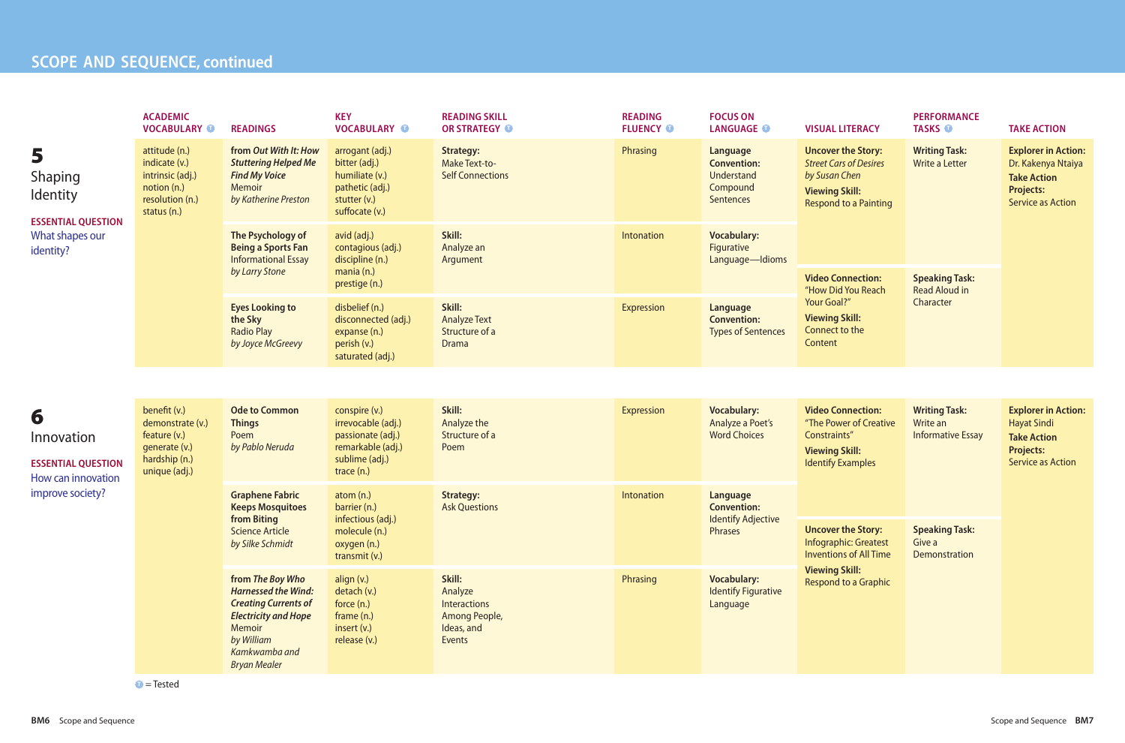## **PARTICLE SCOPE** AND **SEQUENCE**, continued

|                                                                                        | <b>ACADEMIC</b><br><b>VOCABULARY O</b>                                                              | <b>READINGS</b>                                                                                                                                                              | <b>KEY</b><br><b>VOCABULARY O</b>                                                                               | <b>READING SKILL</b><br>OR STRATEGY O                                             | <b>READING</b><br><b>FLUENCY O</b> | <b>FOCUS ON</b><br><b>LANGUAGE O</b>                                         | <b>VISUAL LITERACY</b>                                                                                                                                                                                                                                                                                                                                              | <b>PERFORMANCE</b><br><b>TASKS O</b>                                                                             | <b>TAKE ACTION</b>                                                                                                     |
|----------------------------------------------------------------------------------------|-----------------------------------------------------------------------------------------------------|------------------------------------------------------------------------------------------------------------------------------------------------------------------------------|-----------------------------------------------------------------------------------------------------------------|-----------------------------------------------------------------------------------|------------------------------------|------------------------------------------------------------------------------|---------------------------------------------------------------------------------------------------------------------------------------------------------------------------------------------------------------------------------------------------------------------------------------------------------------------------------------------------------------------|------------------------------------------------------------------------------------------------------------------|------------------------------------------------------------------------------------------------------------------------|
| 5<br>Shaping<br><b>Identity</b><br><b>ESSENTIAL QUESTION</b>                           | attitude (n.)<br>indicate (v.)<br>intrinsic (adj.)<br>notion (n.)<br>resolution (n.)<br>status (n.) | from Out With It: How<br><b>Stuttering Helped Me</b><br><b>Find My Voice</b><br>Memoir<br>by Katherine Preston                                                               | arrogant (adj.)<br>bitter (adj.)<br>humiliate (v.)<br>pathetic (adj.)<br>stutter (v.)<br>suffocate (v.)         | <b>Strategy:</b><br><b>Make Text-to-</b><br><b>Self Connections</b>               | Phrasing                           | Language<br><b>Convention:</b><br><b>Understand</b><br>Compound<br>Sentences | <b>Writing Task:</b><br><b>Uncover the Story:</b><br><b>Street Cars of Desires</b><br>Write a Letter<br>by Susan Chen<br><b>Viewing Skill:</b><br><b>Respond to a Painting</b><br><b>Speaking Task:</b><br><b>Video Connection:</b><br>"How Did You Reach<br><b>Read Aloud in</b><br>Character<br>Your Goal?"<br><b>Viewing Skill:</b><br>Connect to the<br>Content | <b>Writing Task:</b><br>Write an<br><b>Informative Essay</b><br><b>Speaking Task:</b><br>Give a<br>Demonstration | <b>Explorer in Action:</b><br>Dr. Kakenya Ntaiya<br><b>Take Action</b><br><b>Projects:</b><br><b>Service as Action</b> |
| What shapes our<br>identity?                                                           |                                                                                                     | The Psychology of<br><b>Being a Sports Fan</b><br><b>Informational Essay</b><br>by Larry Stone                                                                               | avid (adj.)<br>contagious (adj.)<br>discipline (n.)<br>mania (n.)                                               | Skill:<br>Analyze an<br>Argument                                                  | Intonation                         | <b>Vocabulary:</b><br>Figurative<br>Language-Idioms                          |                                                                                                                                                                                                                                                                                                                                                                     |                                                                                                                  |                                                                                                                        |
|                                                                                        |                                                                                                     | <b>Eyes Looking to</b><br>the Sky<br><b>Radio Play</b><br>by Joyce McGreevy                                                                                                  | prestige (n.)<br>disbelief (n.)<br>disconnected (adj.)<br>expanse (n.)<br>perish (v.)<br>saturated (adj.)       | Skill:<br><b>Analyze Text</b><br>Structure of a<br><b>Drama</b>                   | Expression                         | Language<br><b>Convention:</b><br><b>Types of Sentences</b>                  |                                                                                                                                                                                                                                                                                                                                                                     |                                                                                                                  |                                                                                                                        |
|                                                                                        |                                                                                                     |                                                                                                                                                                              |                                                                                                                 |                                                                                   |                                    |                                                                              |                                                                                                                                                                                                                                                                                                                                                                     |                                                                                                                  |                                                                                                                        |
| 6<br>Innovation<br><b>ESSENTIAL QUESTION</b><br>How can innovation<br>improve society? | benefit (v.)<br>demonstrate (v.)<br>feature (v.)<br>generate (v.)<br>hardship (n.)<br>unique (adj.) | <b>Ode to Common</b><br><b>Things</b><br>Poem<br>by Pablo Neruda                                                                                                             | conspire (v.)<br>irrevocable (adj.)<br>passionate (adj.)<br>remarkable (adj.)<br>sublime (adj.)<br>trace $(n.)$ | Skill:<br>Analyze the<br>Structure of a<br>Poem                                   | Expression                         | <b>Vocabulary:</b><br>Analyze a Poet's<br><b>Word Choices</b>                | <b>Video Connection:</b><br>"The Power of Creative<br>Constraints"<br><b>Viewing Skill:</b><br><b>Identify Examples</b><br><b>Uncover the Story:</b><br>Infographic: Greatest<br><b>Inventions of All Time</b>                                                                                                                                                      |                                                                                                                  | <b>Explorer in Action:</b><br><b>Hayat Sindi</b><br><b>Take Action</b><br><b>Projects:</b><br><b>Service as Action</b> |
|                                                                                        |                                                                                                     | <b>Graphene Fabric</b><br><b>Keeps Mosquitoes</b><br>from Biting<br><b>Science Article</b><br>by Silke Schmidt                                                               | atom $(n.)$<br>barrier (n.)<br>infectious (adj.)<br>molecule (n.)<br>oxygen (n.)<br>transmit (v.)               | Strategy:<br><b>Ask Questions</b>                                                 | Intonation                         | Language<br><b>Convention:</b><br><b>Identify Adjective</b><br>Phrases       |                                                                                                                                                                                                                                                                                                                                                                     |                                                                                                                  |                                                                                                                        |
|                                                                                        |                                                                                                     | from The Boy Who<br><b>Harnessed the Wind:</b><br><b>Creating Currents of</b><br><b>Electricity and Hope</b><br>Memoir<br>by William<br>Kamkwamba and<br><b>Bryan Mealer</b> | align (v.)<br>detach (v.)<br>force (n.)<br>frame $(n.)$<br>insert $(v.)$<br>release (v.)                        | Skill:<br>Analyze<br>Interactions<br>Among People,<br>Ideas, and<br><b>Events</b> | Phrasing                           | <b>Vocabulary:</b><br><b>Identify Figurative</b><br>Language                 | <b>Viewing Skill:</b><br>Respond to a Graphic                                                                                                                                                                                                                                                                                                                       |                                                                                                                  |                                                                                                                        |

**T** = Tested